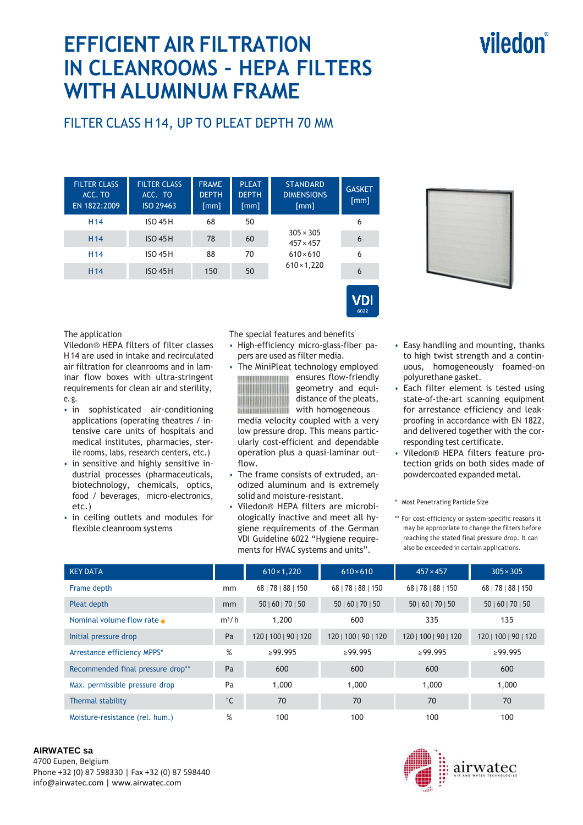# viledon

# **EFFICIENT AIR FILTRATION IN CLEANROOMS – HEPA FILTERS WITH ALUMINUM FRAME**

## FILTER CLASS H 14, UP TO PLEAT DEPTH 70 MM

| <b>FILTER CLASS</b><br>ACC. TO<br>EN 1822:2009 | <b>FILTER CLASS</b><br>ACC. TO<br>ISO 29463 | <b>FRAME</b><br><b>DEPTH</b><br>$\lceil mm \rceil$ | <b>PLEAT</b><br><b>DEPTH</b><br>[mm] | <b>STANDARD</b><br><b>DIMENSIONS</b><br>[mm] | <b>GASKET</b><br>$\lceil mm \rceil$ |
|------------------------------------------------|---------------------------------------------|----------------------------------------------------|--------------------------------------|----------------------------------------------|-------------------------------------|
| H <sub>14</sub>                                | <b>ISO 45 H</b>                             | 68                                                 | 50                                   |                                              | 6                                   |
| H <sub>14</sub>                                | <b>ISO 45 H</b>                             | 78                                                 | 60                                   | $305 \times 305$<br>$457 \times 457$         | 6                                   |
| H <sub>14</sub>                                | <b>ISO 45 H</b>                             | 88<br>70                                           | $610 \times 610$                     | 6                                            |                                     |
| H <sub>14</sub>                                | <b>ISO 45 H</b>                             | 150                                                | 50                                   | $610 \times 1,220$                           | 6                                   |
|                                                |                                             |                                                    |                                      |                                              |                                     |



#### The application

Viledon® HEPA filters of filter classes H 14 are used in intake and recirculated air filtration for cleanrooms and in laminar flow boxes with ultra-stringent requirements for clean air and sterility, e. g.

- in sophisticated air-conditioning applications (operating theatres / intensive care units of hospitals and medical institutes, pharmacies, sterile rooms, labs, research centers, etc.)
- in sensitive and highly sensitive industrial processes (pharmaceuticals, biotechnology, chemicals, optics, food / beverages, micro-electronics, etc.)
- in ceiling outlets and modules for flexible cleanroom systems

The special features and benefits

- High-efficiency micro-glass-fiber papers are used as filter media.
- The MiniPleat technology employed



**EXECUTER FLOW-Friendly** geometry and equidistance of the pleats, with homogeneous media velocity coupled with a very

low pressure drop. This means particularly cost-efficient and dependable operation plus a quasi-laminar outflow.

- The frame consists of extruded, anodized aluminum and is extremely solid and moisture-resistant.
- Viledon® HEPA filters are microbiologically inactive and meet all hygiene requirements of the German VDI Guideline 6022 "Hygiene requirements for HVAC systems and units".
- Easy handling and mounting, thanks to high twist strength and a continuous, homogeneously foamed-on polyurethane gasket.
- Each filter element is tested using state-of-the-art scanning equipment for arrestance efficiency and leakproofing in accordance with EN 1822, and delivered together with the corresponding test certificate.
- Viledon® HEPA filters feature protection grids on both sides made of powdercoated expanded metal.

\* Most Penetrating Particle Size

\*\* For cost-efficiency or system-specific reasons it may be appropriate to change the filters before reaching the stated final pressure drop. It can also be exceeded in certain applications.

| <b>KEY DATA</b>                   |              | $610 \times 1,220$   | $610\times610$       | $457 \times 457$     | $305 \times 305$     |
|-----------------------------------|--------------|----------------------|----------------------|----------------------|----------------------|
| Frame depth                       | mm           | 68   78   88   150   | 68   78   88   150   | 68   78   88   150   | 68   78   88   150   |
| Pleat depth                       | mm           | 50   60   70   50    | 50   60   70   50    | 50   60   70   50    | 50   60   70   50    |
| Nominal volume flow rate          | $m^3/h$      | 1,200                | 600                  | 335                  | 135                  |
| Initial pressure drop             | Pa           | 120   100   90   120 | 120   100   90   120 | 120   100   90   120 | 120   100   90   120 |
| Arrestance efficiency MPPS*       | %            | $\geq$ 99.995        | >99.995              | >99.995              | $\geq$ 99.995        |
| Recommended final pressure drop** | Pa           | 600                  | 600                  | 600                  | 600                  |
| Max. permissible pressure drop    | Pa           | 1,000                | 1,000                | 1,000                | 1,000                |
| Thermal stability                 | $^{\circ}$ C | 70                   | 70                   | 70                   | 70                   |
| Moisture-resistance (rel. hum.)   | %            | 100                  | 100                  | 100                  | 100                  |

#### **AIRWATEC sa**

4700 Eupen, Belgium Phone +32 (0) 87 598330 | Fax +32 (0) 87 598440 info@airwatec.com | www.airwatec.com